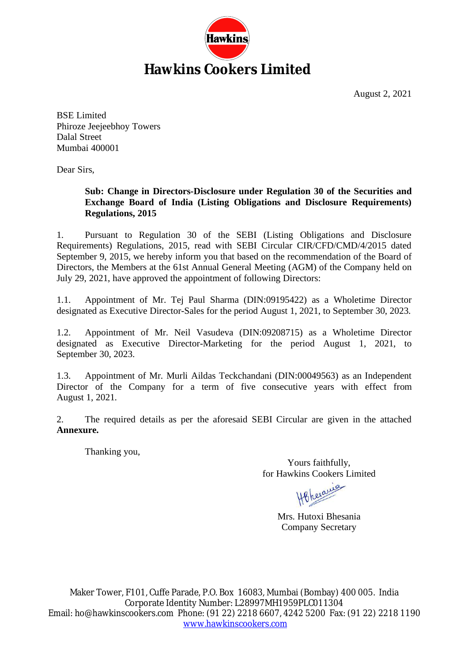

August 2, 2021

BSE Limited Phiroze Jeejeebhoy Towers Dalal Street Mumbai 400001

Dear Sirs,

## **Sub: Change in Directors-Disclosure under Regulation 30 of the Securities and Exchange Board of India (Listing Obligations and Disclosure Requirements) Regulations, 2015**

1. Pursuant to Regulation 30 of the SEBI (Listing Obligations and Disclosure Requirements) Regulations, 2015, read with SEBI Circular CIR/CFD/CMD/4/2015 dated September 9, 2015, we hereby inform you that based on the recommendation of the Board of Directors, the Members at the 61st Annual General Meeting (AGM) of the Company held on July 29, 2021, have approved the appointment of following Directors:

1.1. Appointment of Mr. Tej Paul Sharma (DIN:09195422) as a Wholetime Director designated as Executive Director-Sales for the period August 1, 2021, to September 30, 2023.

1.2. Appointment of Mr. Neil Vasudeva (DIN:09208715) as a Wholetime Director designated as Executive Director-Marketing for the period August 1, 2021, to September 30, 2023.

1.3. Appointment of Mr. Murli Aildas Teckchandani (DIN:00049563) as an Independent Director of the Company for a term of five consecutive years with effect from August 1, 2021.

2. The required details as per the aforesaid SEBI Circular are given in the attached **Annexure.**

Thanking you,

Yours faithfully, for Hawkins Cookers Limited

Mrs. Hutoxi Bhesania Company Secretary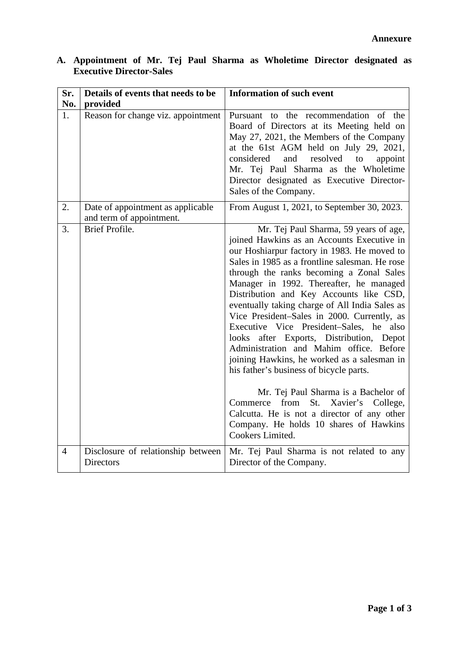| Sr.            | Details of events that needs to be                            | <b>Information of such event</b>                                                                                                                                                                                                                                                                                                                                                                                                                                                                                                                                                                                                                                                                                                                                                                                                                            |
|----------------|---------------------------------------------------------------|-------------------------------------------------------------------------------------------------------------------------------------------------------------------------------------------------------------------------------------------------------------------------------------------------------------------------------------------------------------------------------------------------------------------------------------------------------------------------------------------------------------------------------------------------------------------------------------------------------------------------------------------------------------------------------------------------------------------------------------------------------------------------------------------------------------------------------------------------------------|
| No.            | provided                                                      |                                                                                                                                                                                                                                                                                                                                                                                                                                                                                                                                                                                                                                                                                                                                                                                                                                                             |
| 1.             | Reason for change viz. appointment                            | Pursuant to the recommendation of the<br>Board of Directors at its Meeting held on<br>May 27, 2021, the Members of the Company<br>at the 61st AGM held on July 29, 2021,<br>resolved<br>considered<br>and<br>to<br>appoint<br>Mr. Tej Paul Sharma as the Wholetime<br>Director designated as Executive Director-<br>Sales of the Company.                                                                                                                                                                                                                                                                                                                                                                                                                                                                                                                   |
| 2.             | Date of appointment as applicable<br>and term of appointment. | From August 1, 2021, to September 30, 2023.                                                                                                                                                                                                                                                                                                                                                                                                                                                                                                                                                                                                                                                                                                                                                                                                                 |
| 3.             | Brief Profile.                                                | Mr. Tej Paul Sharma, 59 years of age,<br>joined Hawkins as an Accounts Executive in<br>our Hoshiarpur factory in 1983. He moved to<br>Sales in 1985 as a frontline salesman. He rose<br>through the ranks becoming a Zonal Sales<br>Manager in 1992. Thereafter, he managed<br>Distribution and Key Accounts like CSD,<br>eventually taking charge of All India Sales as<br>Vice President–Sales in 2000. Currently, as<br>Executive Vice President-Sales, he also<br>looks after Exports, Distribution, Depot<br>Administration and Mahim office. Before<br>joining Hawkins, he worked as a salesman in<br>his father's business of bicycle parts.<br>Mr. Tej Paul Sharma is a Bachelor of<br>from<br>St.<br>Xavier's<br>College,<br>Commerce<br>Calcutta. He is not a director of any other<br>Company. He holds 10 shares of Hawkins<br>Cookers Limited. |
| $\overline{4}$ | Disclosure of relationship between<br><b>Directors</b>        | Mr. Tej Paul Sharma is not related to any<br>Director of the Company.                                                                                                                                                                                                                                                                                                                                                                                                                                                                                                                                                                                                                                                                                                                                                                                       |

**A. Appointment of Mr. Tej Paul Sharma as Wholetime Director designated as Executive Director-Sales**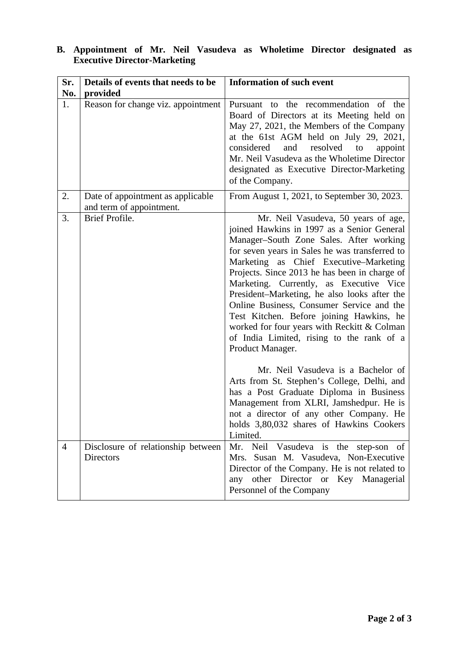| Sr.            | Details of events that needs to be                            | <b>Information of such event</b>                                                                                                                                                                                                                                                                                                                                                                                                                                                                                                                                                                                                                                                                                                                                                                                                                            |
|----------------|---------------------------------------------------------------|-------------------------------------------------------------------------------------------------------------------------------------------------------------------------------------------------------------------------------------------------------------------------------------------------------------------------------------------------------------------------------------------------------------------------------------------------------------------------------------------------------------------------------------------------------------------------------------------------------------------------------------------------------------------------------------------------------------------------------------------------------------------------------------------------------------------------------------------------------------|
| No.<br>1.      | provided<br>Reason for change viz. appointment                | Pursuant to the recommendation of the<br>Board of Directors at its Meeting held on<br>May 27, 2021, the Members of the Company<br>at the 61st AGM held on July 29, 2021,<br>considered<br>and resolved<br>to<br>appoint<br>Mr. Neil Vasudeva as the Wholetime Director<br>designated as Executive Director-Marketing<br>of the Company.                                                                                                                                                                                                                                                                                                                                                                                                                                                                                                                     |
| 2.             | Date of appointment as applicable<br>and term of appointment. | From August 1, 2021, to September 30, 2023.                                                                                                                                                                                                                                                                                                                                                                                                                                                                                                                                                                                                                                                                                                                                                                                                                 |
| 3.             | Brief Profile.                                                | Mr. Neil Vasudeva, 50 years of age,<br>joined Hawkins in 1997 as a Senior General<br>Manager-South Zone Sales. After working<br>for seven years in Sales he was transferred to<br>Marketing as Chief Executive-Marketing<br>Projects. Since 2013 he has been in charge of<br>Marketing. Currently, as Executive Vice<br>President-Marketing, he also looks after the<br>Online Business, Consumer Service and the<br>Test Kitchen. Before joining Hawkins, he<br>worked for four years with Reckitt & Colman<br>of India Limited, rising to the rank of a<br>Product Manager.<br>Mr. Neil Vasudeva is a Bachelor of<br>Arts from St. Stephen's College, Delhi, and<br>has a Post Graduate Diploma in Business<br>Management from XLRI, Jamshedpur. He is<br>not a director of any other Company. He<br>holds 3,80,032 shares of Hawkins Cookers<br>Limited. |
| $\overline{4}$ | Disclosure of relationship between<br><b>Directors</b>        | Mr. Neil Vasudeva is the step-son of<br>Mrs. Susan M. Vasudeva, Non-Executive<br>Director of the Company. He is not related to<br>any other Director or Key Managerial<br>Personnel of the Company                                                                                                                                                                                                                                                                                                                                                                                                                                                                                                                                                                                                                                                          |

## **B. Appointment of Mr. Neil Vasudeva as Wholetime Director designated as Executive Director-Marketing**